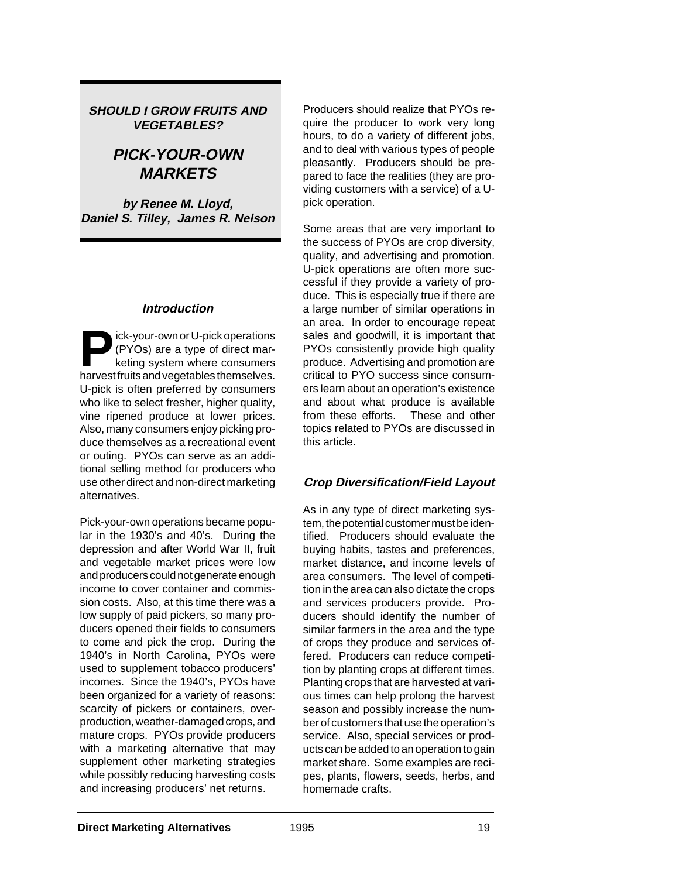### **SHOULD I GROW FRUITS AND VEGETABLES?**

# **PICK-YOUR-OWN MARKETS**

**by Renee M. Lloyd, Daniel S. Tilley, James R. Nelson**

### **Introduction**

**Pose** (PYOs) are a type of direct marketing system where consumers<br>harvest fruits and vegetables themselves (PYOs) are a type of direct marharvest fruits and vegetables themselves. U-pick is often preferred by consumers who like to select fresher, higher quality, vine ripened produce at lower prices. Also, many consumers enjoy picking produce themselves as a recreational event or outing. PYOs can serve as an additional selling method for producers who use other direct and non-direct marketing alternatives.

Pick-your-own operations became popular in the 1930's and 40's. During the depression and after World War II, fruit and vegetable market prices were low and producers could not generate enough income to cover container and commission costs. Also, at this time there was a low supply of paid pickers, so many producers opened their fields to consumers to come and pick the crop. During the 1940's in North Carolina, PYOs were used to supplement tobacco producers' incomes. Since the 1940's, PYOs have been organized for a variety of reasons: scarcity of pickers or containers, overproduction, weather-damaged crops, and mature crops. PYOs provide producers with a marketing alternative that may supplement other marketing strategies while possibly reducing harvesting costs and increasing producers' net returns.

Producers should realize that PYOs require the producer to work very long hours, to do a variety of different jobs, and to deal with various types of people pleasantly. Producers should be prepared to face the realities (they are providing customers with a service) of a Upick operation.

Some areas that are very important to the success of PYOs are crop diversity, quality, and advertising and promotion. U-pick operations are often more successful if they provide a variety of produce. This is especially true if there are a large number of similar operations in an area. In order to encourage repeat sales and goodwill, it is important that PYOs consistently provide high quality produce. Advertising and promotion are critical to PYO success since consumers learn about an operation's existence and about what produce is available from these efforts. These and other topics related to PYOs are discussed in this article.

### **Crop Diversification/Field Layout**

As in any type of direct marketing system, the potential customer must be identified. Producers should evaluate the buying habits, tastes and preferences, market distance, and income levels of area consumers. The level of competition in the area can also dictate the crops and services producers provide. Producers should identify the number of similar farmers in the area and the type of crops they produce and services offered. Producers can reduce competition by planting crops at different times. Planting crops that are harvested at various times can help prolong the harvest season and possibly increase the number of customers that use the operation's service. Also, special services or products can be added to an operation to gain market share. Some examples are recipes, plants, flowers, seeds, herbs, and homemade crafts.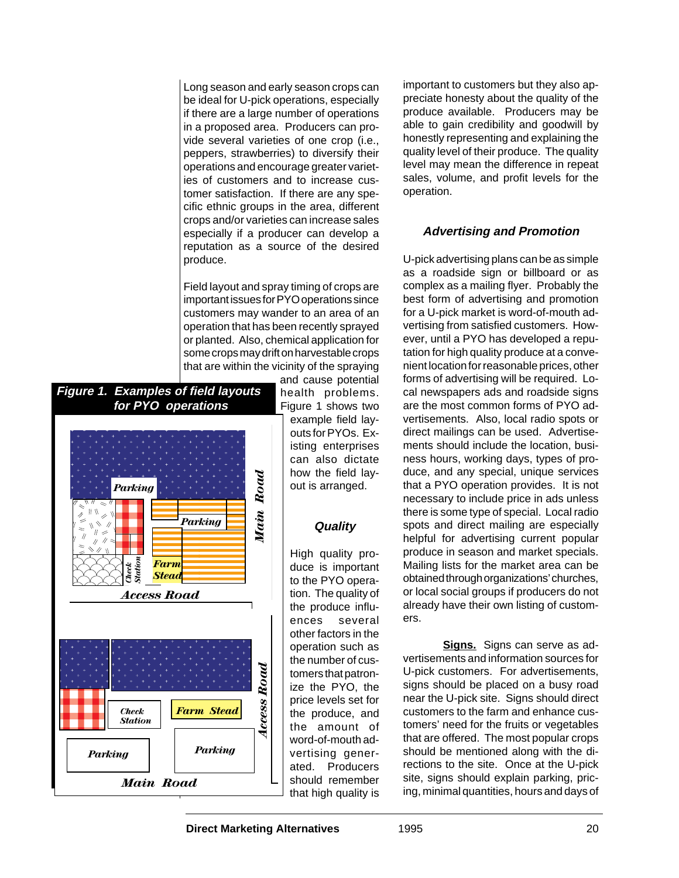Long season and early season crops can be ideal for U-pick operations, especially if there are a large number of operations in a proposed area. Producers can provide several varieties of one crop (i.e., peppers, strawberries) to diversify their operations and encourage greater varieties of customers and to increase customer satisfaction. If there are any specific ethnic groups in the area, different crops and/or varieties can increase sales especially if a producer can develop a reputation as a source of the desired produce.

Field layout and spray timing of crops are important issues for PYO operations since customers may wander to an area of an operation that has been recently sprayed or planted. Also, chemical application for some crops may drift on harvestable crops that are within the vicinity of the spraying



and cause potential health problems. Figure 1 shows two example field layouts for PYOs. Existing enterprises can also dictate how the field layout is arranged.

### **Quality**

High quality produce is important to the PYO operation. The quality of the produce influences several other factors in the operation such as the number of customers that patronize the PYO, the price levels set for the produce, and the amount of word-of-mouth advertising generated. Producers should remember that high quality is

important to customers but they also appreciate honesty about the quality of the produce available. Producers may be able to gain credibility and goodwill by honestly representing and explaining the quality level of their produce. The quality level may mean the difference in repeat sales, volume, and profit levels for the operation.

## **Advertising and Promotion**

U-pick advertising plans can be as simple as a roadside sign or billboard or as complex as a mailing flyer. Probably the best form of advertising and promotion for a U-pick market is word-of-mouth advertising from satisfied customers. However, until a PYO has developed a reputation for high quality produce at a convenient location for reasonable prices, other forms of advertising will be required. Local newspapers ads and roadside signs are the most common forms of PYO advertisements. Also, local radio spots or direct mailings can be used. Advertisements should include the location, business hours, working days, types of produce, and any special, unique services that a PYO operation provides. It is not necessary to include price in ads unless there is some type of special. Local radio spots and direct mailing are especially helpful for advertising current popular produce in season and market specials. Mailing lists for the market area can be obtained through organizations' churches, or local social groups if producers do not already have their own listing of customers.

**Signs.** Signs can serve as advertisements and information sources for U-pick customers. For advertisements, signs should be placed on a busy road near the U-pick site. Signs should direct customers to the farm and enhance customers' need for the fruits or vegetables that are offered. The most popular crops should be mentioned along with the directions to the site. Once at the U-pick site, signs should explain parking, pricing, minimal quantities, hours and days of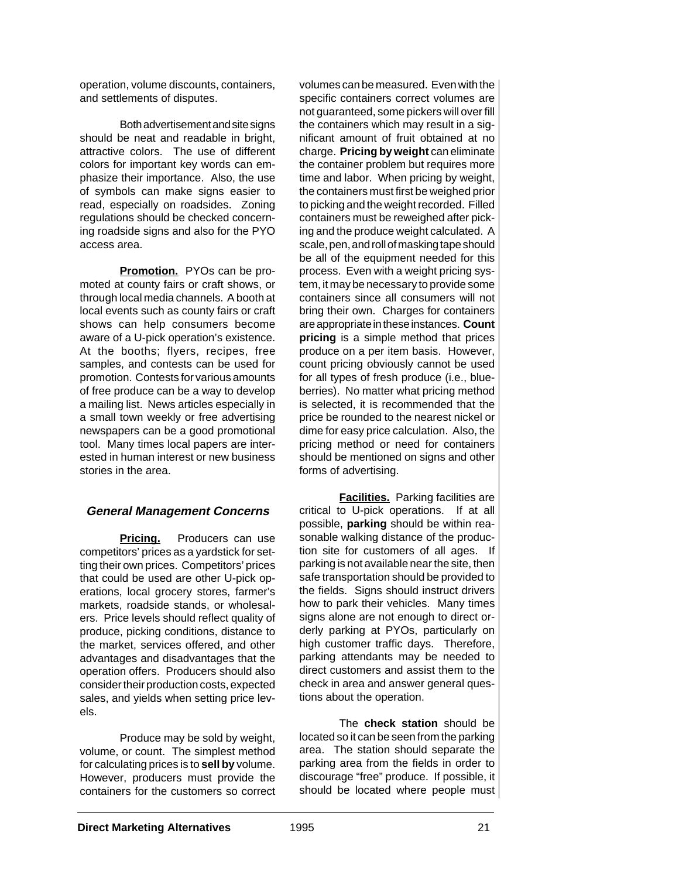operation, volume discounts, containers, and settlements of disputes.

Both advertisement and site signs should be neat and readable in bright, attractive colors. The use of different colors for important key words can emphasize their importance. Also, the use of symbols can make signs easier to read, especially on roadsides. Zoning regulations should be checked concerning roadside signs and also for the PYO access area.

**Promotion.** PYOs can be promoted at county fairs or craft shows, or through local media channels. A booth at local events such as county fairs or craft shows can help consumers become aware of a U-pick operation's existence. At the booths; flyers, recipes, free samples, and contests can be used for promotion. Contests for various amounts of free produce can be a way to develop a mailing list. News articles especially in a small town weekly or free advertising newspapers can be a good promotional tool. Many times local papers are interested in human interest or new business stories in the area.

### **General Management Concerns**

**Pricing.** Producers can use competitors' prices as a yardstick for setting their own prices. Competitors' prices that could be used are other U-pick operations, local grocery stores, farmer's markets, roadside stands, or wholesalers. Price levels should reflect quality of produce, picking conditions, distance to the market, services offered, and other advantages and disadvantages that the operation offers. Producers should also consider their production costs, expected sales, and yields when setting price levels.

Produce may be sold by weight, volume, or count. The simplest method for calculating prices is to **sell by** volume. However, producers must provide the containers for the customers so correct

volumes can be measured. Even with the specific containers correct volumes are not guaranteed, some pickers will over fill the containers which may result in a significant amount of fruit obtained at no charge. **Pricing by weight** can eliminate the container problem but requires more time and labor. When pricing by weight, the containers must first be weighed prior to picking and the weight recorded. Filled containers must be reweighed after picking and the produce weight calculated. A scale, pen, and roll of masking tape should be all of the equipment needed for this process. Even with a weight pricing system, it may be necessary to provide some containers since all consumers will not bring their own. Charges for containers are appropriate in these instances. **Count pricing** is a simple method that prices produce on a per item basis. However, count pricing obviously cannot be used for all types of fresh produce (i.e., blueberries). No matter what pricing method is selected, it is recommended that the price be rounded to the nearest nickel or dime for easy price calculation. Also, the pricing method or need for containers should be mentioned on signs and other forms of advertising.

**Facilities.** Parking facilities are critical to U-pick operations. If at all possible, **parking** should be within reasonable walking distance of the production site for customers of all ages. If parking is not available near the site, then safe transportation should be provided to the fields. Signs should instruct drivers how to park their vehicles. Many times signs alone are not enough to direct orderly parking at PYOs, particularly on high customer traffic days. Therefore, parking attendants may be needed to direct customers and assist them to the check in area and answer general questions about the operation.

The **check station** should be located so it can be seen from the parking area. The station should separate the parking area from the fields in order to discourage "free" produce. If possible, it should be located where people must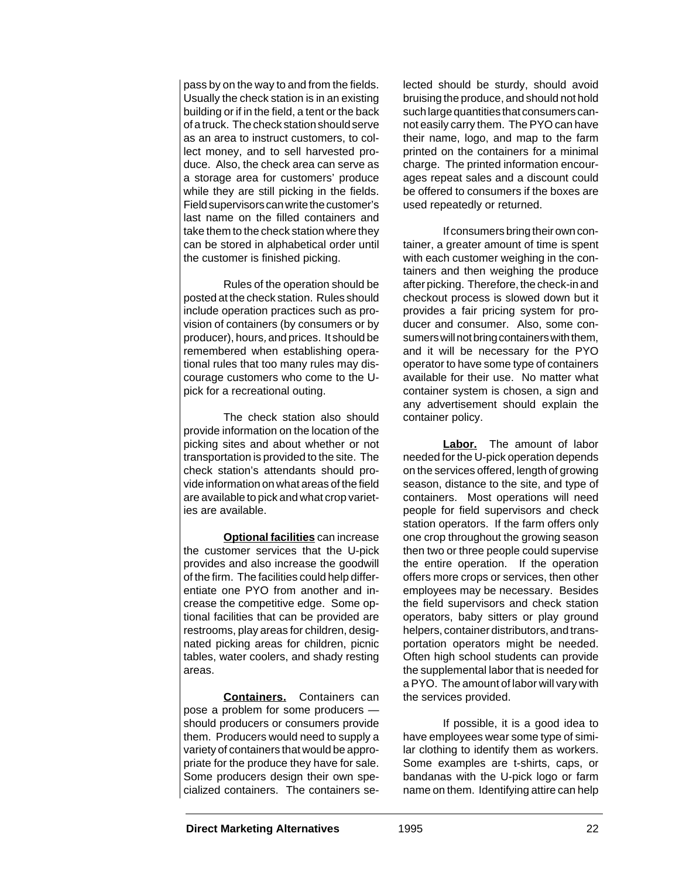pass by on the way to and from the fields. Usually the check station is in an existing building or if in the field, a tent or the back of a truck. The check station should serve as an area to instruct customers, to collect money, and to sell harvested produce. Also, the check area can serve as a storage area for customers' produce while they are still picking in the fields. Field supervisors can write the customer's last name on the filled containers and take them to the check station where they can be stored in alphabetical order until the customer is finished picking.

Rules of the operation should be posted at the check station. Rules should include operation practices such as provision of containers (by consumers or by producer), hours, and prices. It should be remembered when establishing operational rules that too many rules may discourage customers who come to the Upick for a recreational outing.

The check station also should provide information on the location of the picking sites and about whether or not transportation is provided to the site. The check station's attendants should provide information on what areas of the field are available to pick and what crop varieties are available.

**Optional facilities** can increase the customer services that the U-pick provides and also increase the goodwill of the firm. The facilities could help differentiate one PYO from another and increase the competitive edge. Some optional facilities that can be provided are restrooms, play areas for children, designated picking areas for children, picnic tables, water coolers, and shady resting areas.

**Containers.** Containers can pose a problem for some producers should producers or consumers provide them. Producers would need to supply a variety of containers that would be appropriate for the produce they have for sale. Some producers design their own specialized containers. The containers selected should be sturdy, should avoid bruising the produce, and should not hold such large quantities that consumers cannot easily carry them. The PYO can have their name, logo, and map to the farm printed on the containers for a minimal charge. The printed information encourages repeat sales and a discount could be offered to consumers if the boxes are used repeatedly or returned.

If consumers bring their own container, a greater amount of time is spent with each customer weighing in the containers and then weighing the produce after picking. Therefore, the check-in and checkout process is slowed down but it provides a fair pricing system for producer and consumer. Also, some consumers will not bring containers with them, and it will be necessary for the PYO operator to have some type of containers available for their use. No matter what container system is chosen, a sign and any advertisement should explain the container policy.

**Labor.** The amount of labor needed for the U-pick operation depends on the services offered, length of growing season, distance to the site, and type of containers. Most operations will need people for field supervisors and check station operators. If the farm offers only one crop throughout the growing season then two or three people could supervise the entire operation. If the operation offers more crops or services, then other employees may be necessary. Besides the field supervisors and check station operators, baby sitters or play ground helpers, container distributors, and transportation operators might be needed. Often high school students can provide the supplemental labor that is needed for a PYO. The amount of labor will vary with the services provided.

If possible, it is a good idea to have employees wear some type of similar clothing to identify them as workers. Some examples are t-shirts, caps, or bandanas with the U-pick logo or farm name on them. Identifying attire can help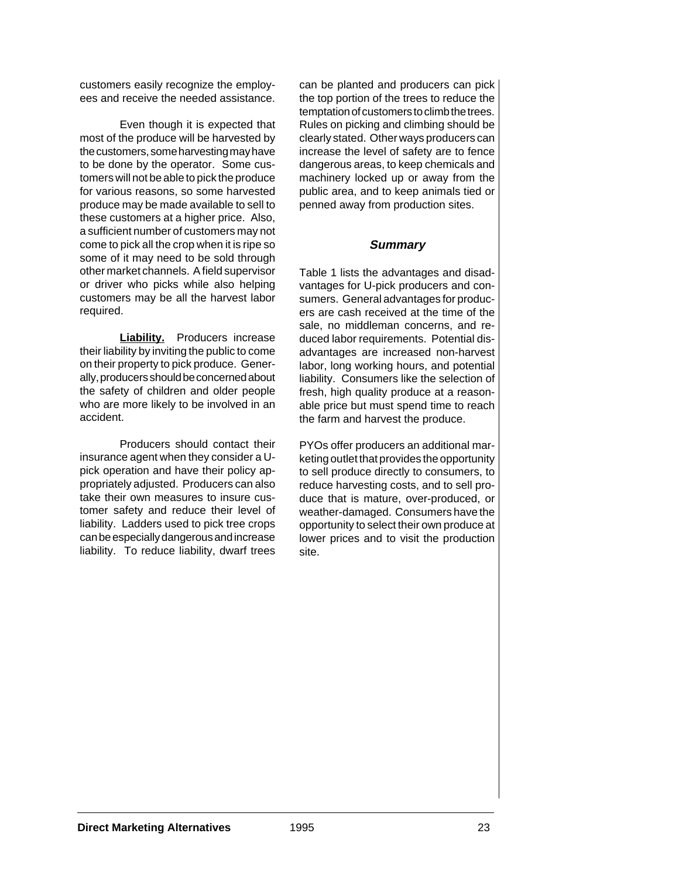customers easily recognize the employees and receive the needed assistance.

Even though it is expected that most of the produce will be harvested by the customers, some harvesting may have to be done by the operator. Some customers will not be able to pick the produce for various reasons, so some harvested produce may be made available to sell to these customers at a higher price. Also, a sufficient number of customers may not come to pick all the crop when it is ripe so some of it may need to be sold through other market channels. A field supervisor or driver who picks while also helping customers may be all the harvest labor required.

**Liability.** Producers increase their liability by inviting the public to come on their property to pick produce. Generally, producers should be concerned about the safety of children and older people who are more likely to be involved in an accident.

Producers should contact their insurance agent when they consider a Upick operation and have their policy appropriately adjusted. Producers can also take their own measures to insure customer safety and reduce their level of liability. Ladders used to pick tree crops can be especially dangerous and increase liability. To reduce liability, dwarf trees

can be planted and producers can pick the top portion of the trees to reduce the temptation of customers to climb the trees. Rules on picking and climbing should be clearly stated. Other ways producers can increase the level of safety are to fence dangerous areas, to keep chemicals and machinery locked up or away from the public area, and to keep animals tied or penned away from production sites.

### **Summary**

Table 1 lists the advantages and disadvantages for U-pick producers and consumers. General advantages for producers are cash received at the time of the sale, no middleman concerns, and reduced labor requirements. Potential disadvantages are increased non-harvest labor, long working hours, and potential liability. Consumers like the selection of fresh, high quality produce at a reasonable price but must spend time to reach the farm and harvest the produce.

PYOs offer producers an additional marketing outlet that provides the opportunity to sell produce directly to consumers, to reduce harvesting costs, and to sell produce that is mature, over-produced, or weather-damaged. Consumers have the opportunity to select their own produce at lower prices and to visit the production site.